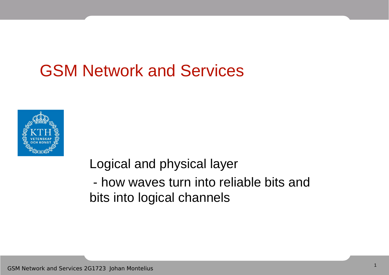### GSM Network and Services



Logical and physical layer

- how waves turn into reliable bits and bits into logical channels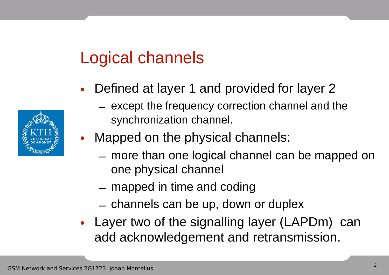### Logical channels

- Defined at layer 1 and provided for layer 2
	- except the frequency correction channel and the synchronization channel.
- Mapped on the physical channels:
	- more than one logical channel can be mapped on one physical channel
	- mapped in time and coding
	- channels can be up, down or duplex
- Layer two of the signalling layer (LAPDm) can add acknowledgement and retransmission.

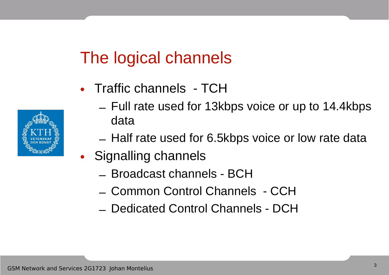### The logical channels

- Traffic channels TCH
	- Full rate used for 13kbps voice or up to 14.4kbps data
	- Half rate used for 6.5kbps voice or low rate data
- Signalling channels
	- Broadcast channels BCH
	- Common Control Channels CCH
	- Dedicated Control Channels DCH

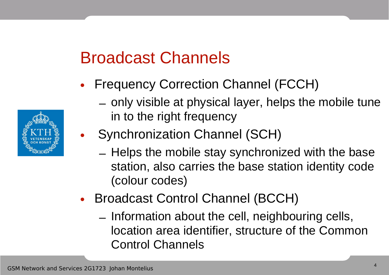### Broadcast Channels

- Frequency Correction Channel (FCCH)
	- only visible at physical layer, helps the mobile tune in to the right frequency
- Synchronization Channel (SCH)
	- Helps the mobile stay synchronized with the base station, also carries the base station identity code (colour codes)
- Broadcast Control Channel (BCCH)
	- Information about the cell, neighbouring cells, location area identifier, structure of the Common Control Channels

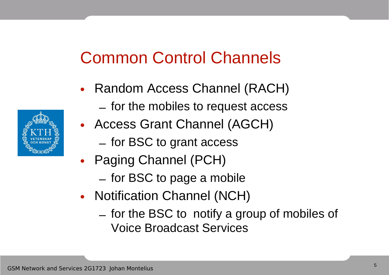### Common Control Channels

- Random Access Channel (RACH)
	- for the mobiles to request access
- Access Grant Channel (AGCH)
	- for BSC to grant access
- Paging Channel (PCH)
	- for BSC to page a mobile
- Notification Channel (NCH)
	- for the BSC to notify a group of mobiles of Voice Broadcast Services

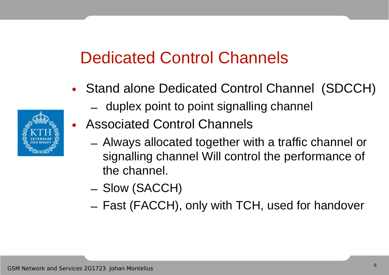### Dedicated Control Channels

- Stand alone Dedicated Control Channel (SDCCH)
	- duplex point to point signalling channel
- Associated Control Channels
	- Always allocated together with a traffic channel or signalling channel Will control the performance of the channel.
	- Slow (SACCH)
	- Fast (FACCH), only with TCH, used for handover

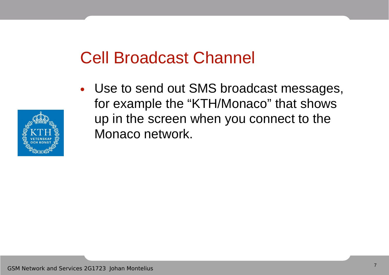### Cell Broadcast Channel

• Use to send out SMS broadcast messages, for example the "KTH/Monaco" that shows up in the screen when you connect to the Monaco network.

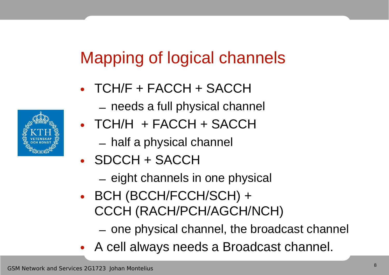## Mapping of logical channels

- TCH/F + FACCH + SACCH
	- needs a full physical channel
- TCH/H + FACCH + SACCH
	- half a physical channel
- SDCCH + SACCH
	- eight channels in one physical
- BCH (BCCH/FCCH/SCH) + CCCH (RACH/PCH/AGCH/NCH)
	- one physical channel, the broadcast channel
- A cell always needs a Broadcast channel.

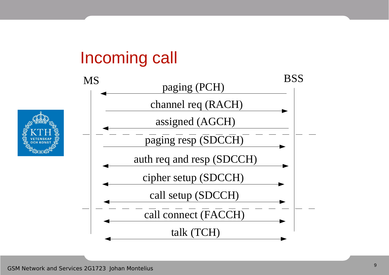### Incoming call



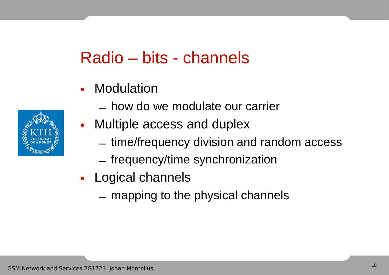### Radio – bits - channels

- Modulation
	- how do we modulate our carrier
- Multiple access and duplex
	- time/frequency division and random access
	- frequency/time synchronization
- Logical channels
	- mapping to the physical channels

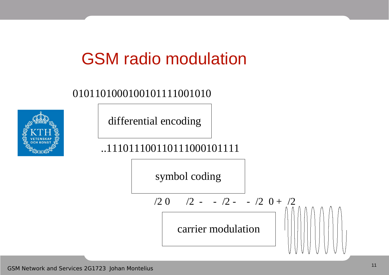### GSM radio modulation

#### 0101101000100101111001010

differential encoding

#### ..111011100110111000101111

symbol coding

carrier modulation  $/2$  0  $/2$  - -  $/2$  - -  $/2$  0 +  $/2$ 

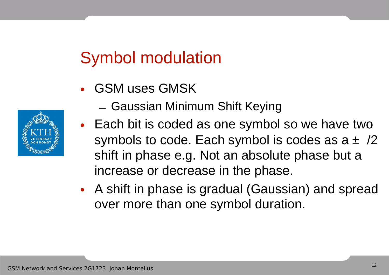### Symbol modulation

- GSM uses GMSK
	- Gaussian Minimum Shift Keying
- Each bit is coded as one symbol so we have two symbols to code. Each symbol is codes as  $a \pm \sqrt{2}$ shift in phase e.g. Not an absolute phase but a increase or decrease in the phase.
- A shift in phase is gradual (Gaussian) and spread over more than one symbol duration.

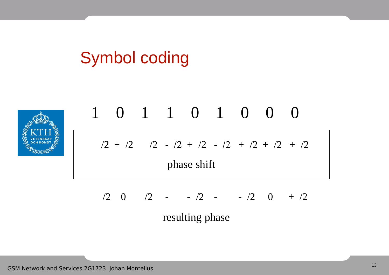## Symbol coding



$$
\frac{1}{2 + \frac{2}{2} + \frac{2}{2} + \frac{2}{2} + \frac{2}{2} + \frac{2}{2} + \frac{2}{2} + \frac{2}{2} + \frac{2}{2} + \frac{2}{2}}
$$
\nphase shift

$$
12 \t 0 \t 12 \t - 12 \t - 12 \t 0 \t + 12
$$
\nresulting phase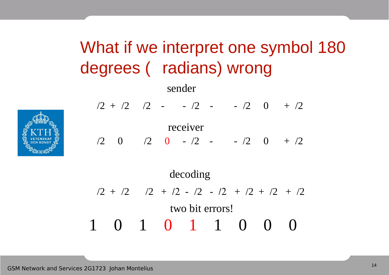## What if we interpret one symbol 180 degrees ( radians) wrong

sender



$$
/2 + /2 \t/2 - - /2 - - /2 \t/2 \t0 + /2
$$

receiver

 $/2$  0  $/2$  0 -  $/2$  - -  $/2$  0 +  $/2$ 

$$
2 + \frac{12}{2} + \frac{12}{2} + \frac{12}{2} - \frac{12}{2} + \frac{12}{2} + \frac{12}{2} + \frac{12}{2}
$$
  
two bit errors!  
1 0 1 0 1 1 0 0 0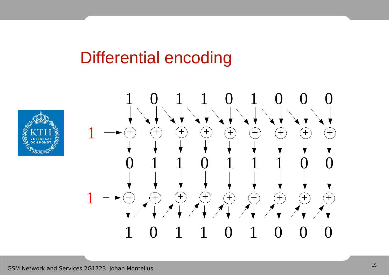### Differential encoding



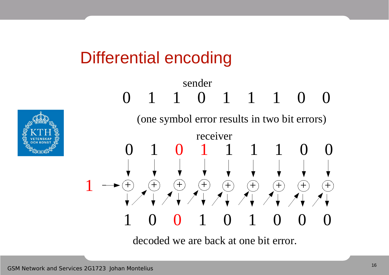### Differential encoding



# 0 1 1 0 1 1 1 0 0 0 1 0 1 1 1 1 0 0 sender (one symbol error results in two bit errors)  $1 \longrightarrow \oplus \text{ } \oplus \text{ } \oplus \text{ } \oplus \text{ } \oplus \text{ } \oplus \text{ } \oplus \text{ } \oplus \text{ } \oplus \text{ } \oplus \text{ } \oplus$  1 0 0 1 0 1 0 0 0 receiver

decoded we are back at one bit error.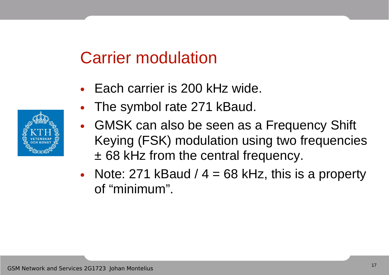### Carrier modulation

- Each carrier is 200 kHz wide.
- The symbol rate 271 kBaud.
- GMSK can also be seen as a Frequency Shift Keying (FSK) modulation using two frequencies ± 68 kHz from the central frequency.
- Note: 271 kBaud  $/ 4 = 68$  kHz, this is a property of "minimum".

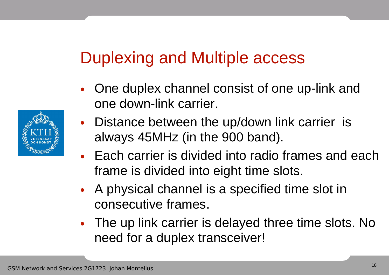### Duplexing and Multiple access

- One duplex channel consist of one up-link and one down-link carrier.
- Distance between the up/down link carrier is always 45MHz (in the 900 band).
- Each carrier is divided into radio frames and each frame is divided into eight time slots.
- A physical channel is a specified time slot in consecutive frames.
- The up link carrier is delayed three time slots. No need for a duplex transceiver!

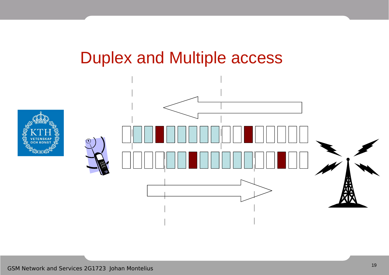#### Duplex and Multiple access



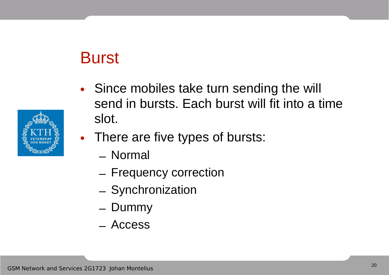### **Burst**

• Since mobiles take turn sending the will send in bursts. Each burst will fit into a time slot.



- Normal
- Frequency correction
- Synchronization
- Dummy
- Access

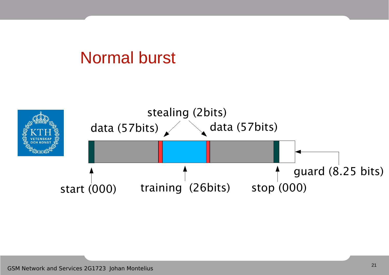#### Normal burst

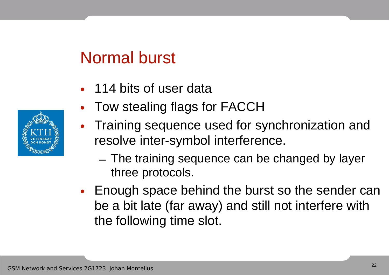#### Normal burst

- 114 bits of user data
- Tow stealing flags for FACCH
- Training sequence used for synchronization and resolve inter-symbol interference.
	- The training sequence can be changed by layer three protocols.
- Enough space behind the burst so the sender can be a bit late (far away) and still not interfere with the following time slot.

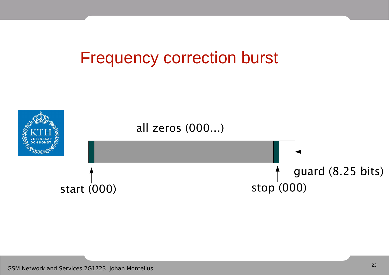#### Frequency correction burst

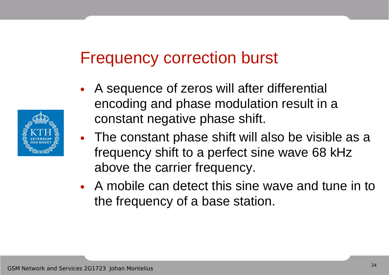#### Frequency correction burst

- A sequence of zeros will after differential encoding and phase modulation result in a constant negative phase shift.
- The constant phase shift will also be visible as a frequency shift to a perfect sine wave 68 kHz above the carrier frequency.
- A mobile can detect this sine wave and tune in to the frequency of a base station.

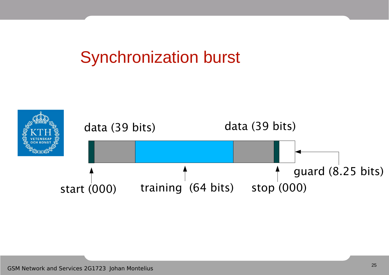### Synchronization burst

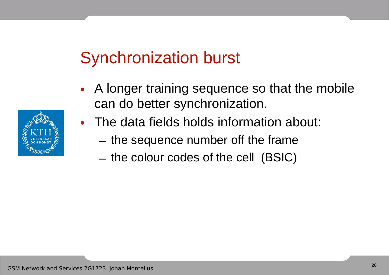### Synchronization burst

- A longer training sequence so that the mobile can do better synchronization.
- The data fields holds information about:
	- the sequence number off the frame
	- the colour codes of the cell (BSIC)

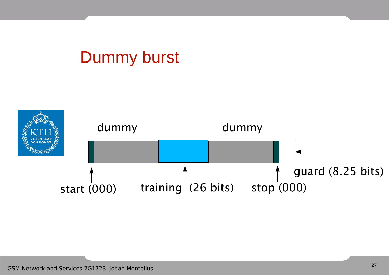### Dummy burst

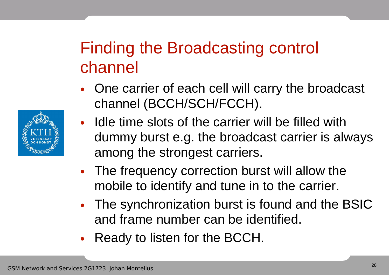### Finding the Broadcasting control channel

- One carrier of each cell will carry the broadcast channel (BCCH/SCH/FCCH).
- Idle time slots of the carrier will be filled with dummy burst e.g. the broadcast carrier is always among the strongest carriers.
- The frequency correction burst will allow the mobile to identify and tune in to the carrier.
- The synchronization burst is found and the BSIC and frame number can be identified.
- Ready to listen for the BCCH.

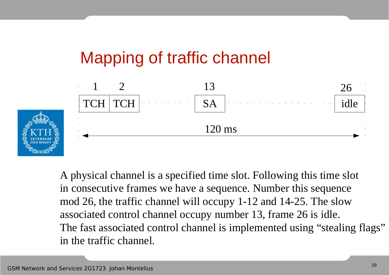## Mapping of traffic channel



A physical channel is a specified time slot. Following this time slot in consecutive frames we have a sequence. Number this sequence mod 26, the traffic channel will occupy 1-12 and 14-25. The slow associated control channel occupy number 13, frame 26 is idle. The fast associated control channel is implemented using "stealing flags" in the traffic channel.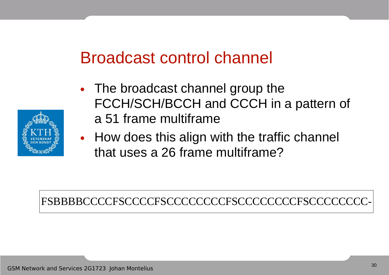### Broadcast control channel

- The broadcast channel group the FCCH/SCH/BCCH and CCCH in a pattern of a 51 frame multiframe
- How does this align with the traffic channel that uses a 26 frame multiframe?

FSBBBBCCCCFSCCCCFSCCCCCCCCFSCCCCCCCCFSCCCCCCCC-

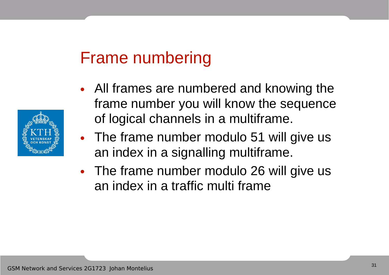### Frame numbering

- All frames are numbered and knowing the frame number you will know the sequence of logical channels in a multiframe.
- The frame number modulo 51 will give us an index in a signalling multiframe.
- The frame number modulo 26 will give us an index in a traffic multi frame

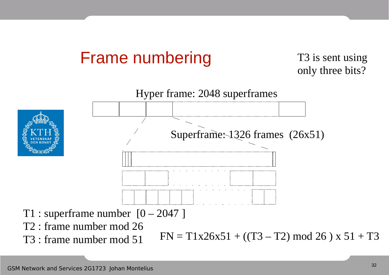### Frame numbering

#### T3 is sent using only three bits?

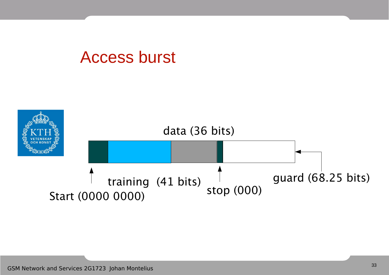#### Access burst

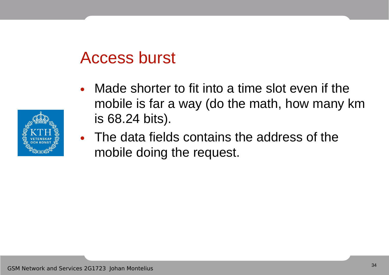#### Access burst

- Made shorter to fit into a time slot even if the mobile is far a way (do the math, how many km is 68.24 bits).
- The data fields contains the address of the mobile doing the request.

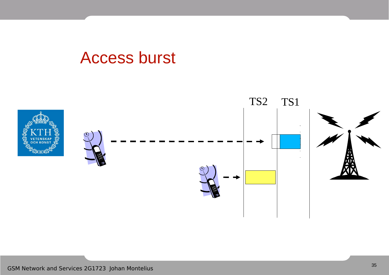#### Access burst

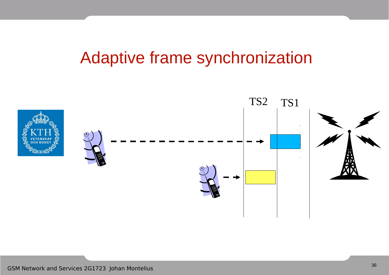### Adaptive frame synchronization

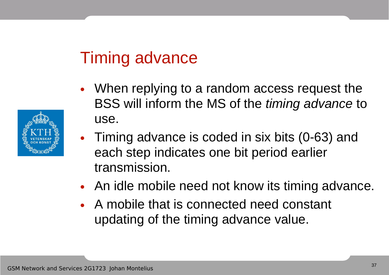### Timing advance

- When replying to a random access request the BSS will inform the MS of the timing advance to use.
- Timing advance is coded in six bits (0-63) and each step indicates one bit period earlier transmission.
- An idle mobile need not know its timing advance.
- A mobile that is connected need constant updating of the timing advance value.